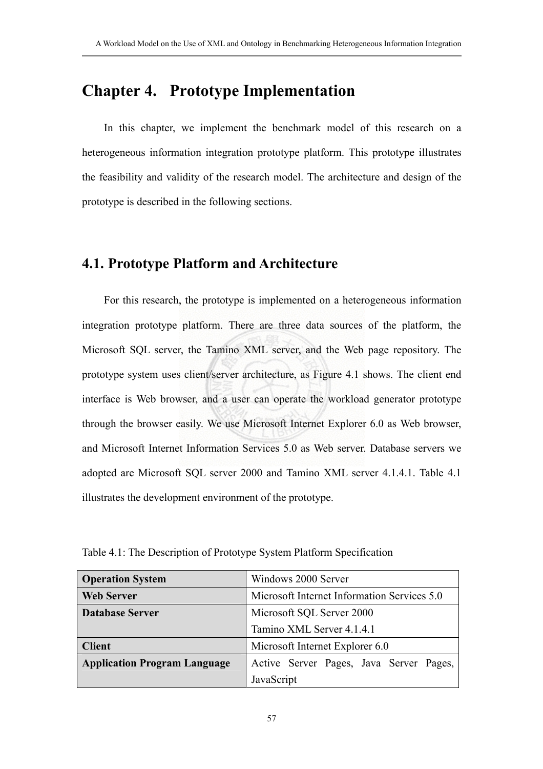# **Chapter 4. Prototype Implementation**

In this chapter, we implement the benchmark model of this research on a heterogeneous information integration prototype platform. This prototype illustrates the feasibility and validity of the research model. The architecture and design of the prototype is described in the following sections.

## **4.1. Prototype Platform and Architecture**

For this research, the prototype is implemented on a heterogeneous information integration prototype platform. There are three data sources of the platform, the Microsoft SQL server, the Tamino XML server, and the Web page repository. The prototype system uses client/server architecture, as Figure 4.1 shows. The client end interface is Web browser, and a user can operate the workload generator prototype through the browser easily. We use Microsoft Internet Explorer 6.0 as Web browser, and Microsoft Internet Information Services 5.0 as Web server. Database servers we adopted are Microsoft SQL server 2000 and Tamino XML server 4.1.4.1. Table 4.1 illustrates the development environment of the prototype.

| <b>Operation System</b>             | Windows 2000 Server                         |  |  |
|-------------------------------------|---------------------------------------------|--|--|
| <b>Web Server</b>                   | Microsoft Internet Information Services 5.0 |  |  |
| <b>Database Server</b>              | Microsoft SQL Server 2000                   |  |  |
|                                     | Tamino XML Server 4.1.4.1                   |  |  |
| <b>Client</b>                       | Microsoft Internet Explorer 6.0             |  |  |
| <b>Application Program Language</b> | Active Server Pages, Java Server Pages,     |  |  |
|                                     | JavaScript                                  |  |  |

Table 4.1: The Description of Prototype System Platform Specification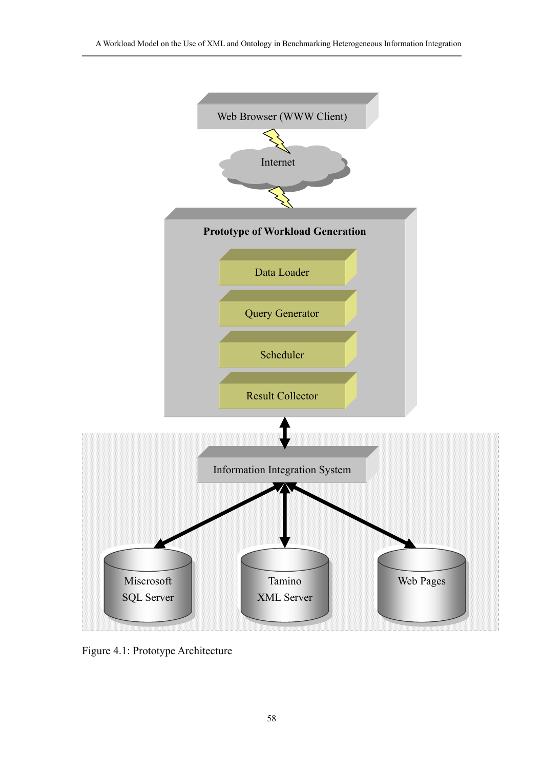

Figure 4.1: Prototype Architecture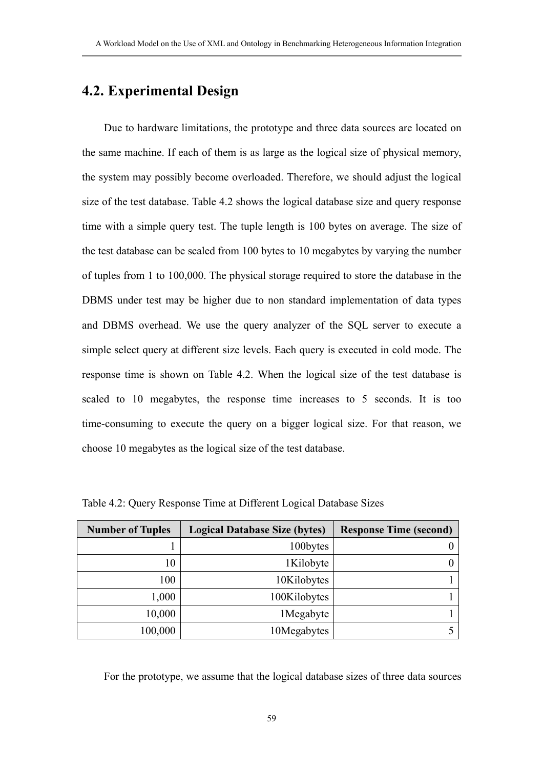### **4.2. Experimental Design**

Due to hardware limitations, the prototype and three data sources are located on the same machine. If each of them is as large as the logical size of physical memory, the system may possibly become overloaded. Therefore, we should adjust the logical size of the test database. Table 4.2 shows the logical database size and query response time with a simple query test. The tuple length is 100 bytes on average. The size of the test database can be scaled from 100 bytes to 10 megabytes by varying the number of tuples from 1 to 100,000. The physical storage required to store the database in the DBMS under test may be higher due to non standard implementation of data types and DBMS overhead. We use the query analyzer of the SQL server to execute a simple select query at different size levels. Each query is executed in cold mode. The response time is shown on Table 4.2. When the logical size of the test database is scaled to 10 megabytes, the response time increases to 5 seconds. It is too time-consuming to execute the query on a bigger logical size. For that reason, we choose 10 megabytes as the logical size of the test database.

| <b>Number of Tuples</b> | <b>Logical Database Size (bytes)</b> | <b>Response Time (second)</b> |
|-------------------------|--------------------------------------|-------------------------------|
|                         | 100bytes                             |                               |
| 10                      | 1Kilobyte                            |                               |
| 100                     | 10Kilobytes                          |                               |
| 1,000                   | 100Kilobytes                         |                               |
| 10,000                  | 1 Megabyte                           |                               |
| 100,000                 | 10Megabytes                          |                               |

Table 4.2: Query Response Time at Different Logical Database Sizes

For the prototype, we assume that the logical database sizes of three data sources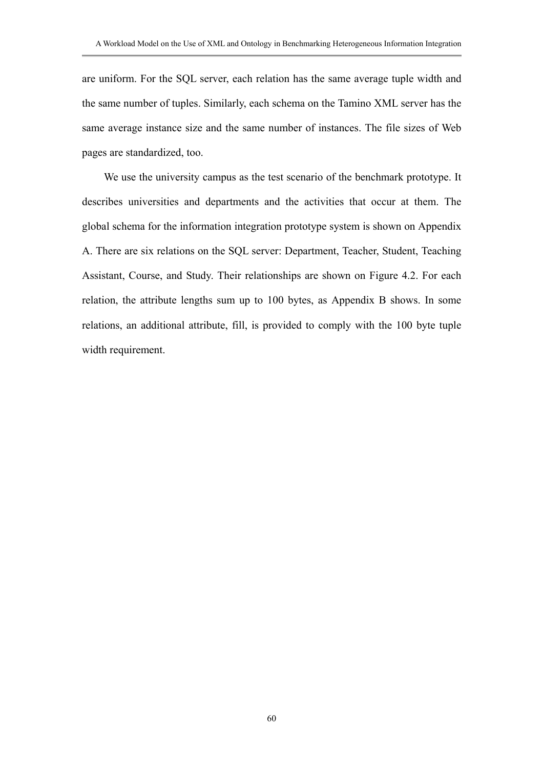are uniform. For the SQL server, each relation has the same average tuple width and the same number of tuples. Similarly, each schema on the Tamino XML server has the same average instance size and the same number of instances. The file sizes of Web pages are standardized, too.

We use the university campus as the test scenario of the benchmark prototype. It describes universities and departments and the activities that occur at them. The global schema for the information integration prototype system is shown on Appendix A. There are six relations on the SQL server: Department, Teacher, Student, Teaching Assistant, Course, and Study. Their relationships are shown on Figure 4.2. For each relation, the attribute lengths sum up to 100 bytes, as Appendix B shows. In some relations, an additional attribute, fill, is provided to comply with the 100 byte tuple width requirement.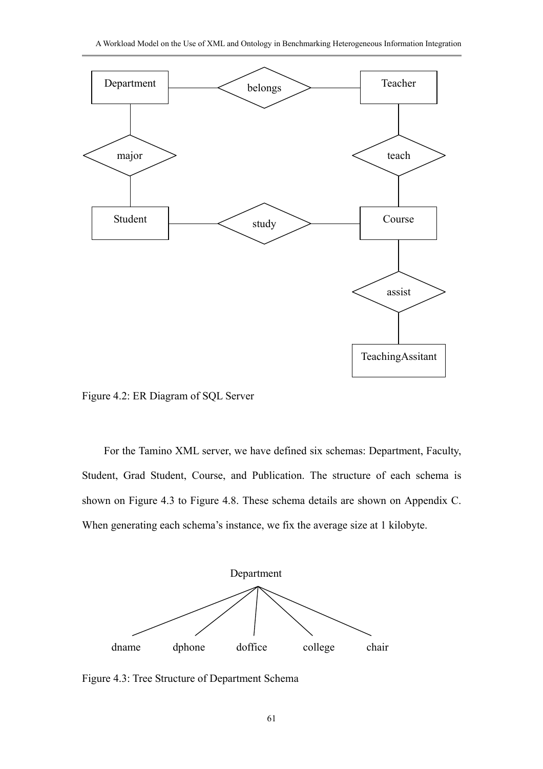

Figure 4.2: ER Diagram of SQL Server

For the Tamino XML server, we have defined six schemas: Department, Faculty, Student, Grad Student, Course, and Publication. The structure of each schema is shown on Figure 4.3 to Figure 4.8. These schema details are shown on Appendix C. When generating each schema's instance, we fix the average size at 1 kilobyte.



Figure 4.3: Tree Structure of Department Schema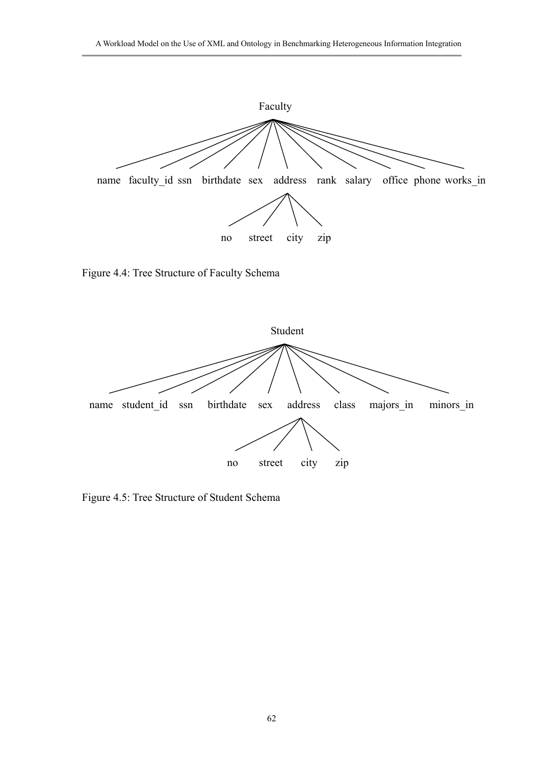





Figure 4.5: Tree Structure of Student Schema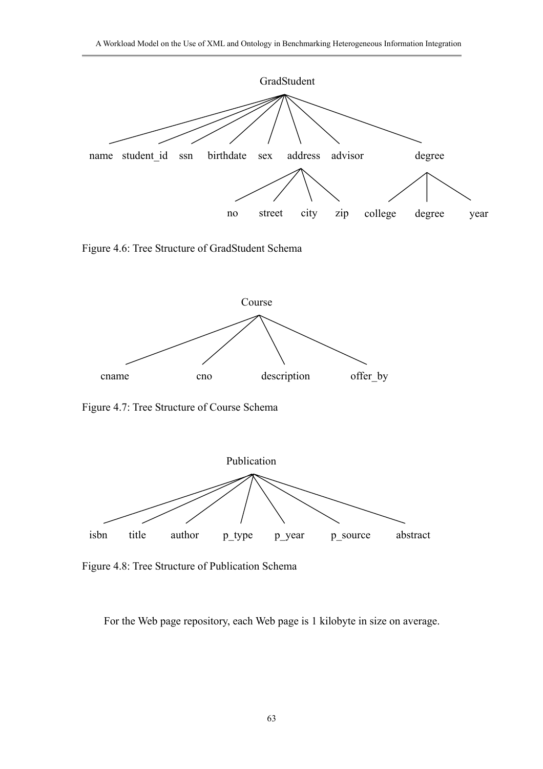

Figure 4.6: Tree Structure of GradStudent Schema



Figure 4.7: Tree Structure of Course Schema



Figure 4.8: Tree Structure of Publication Schema

For the Web page repository, each Web page is 1 kilobyte in size on average.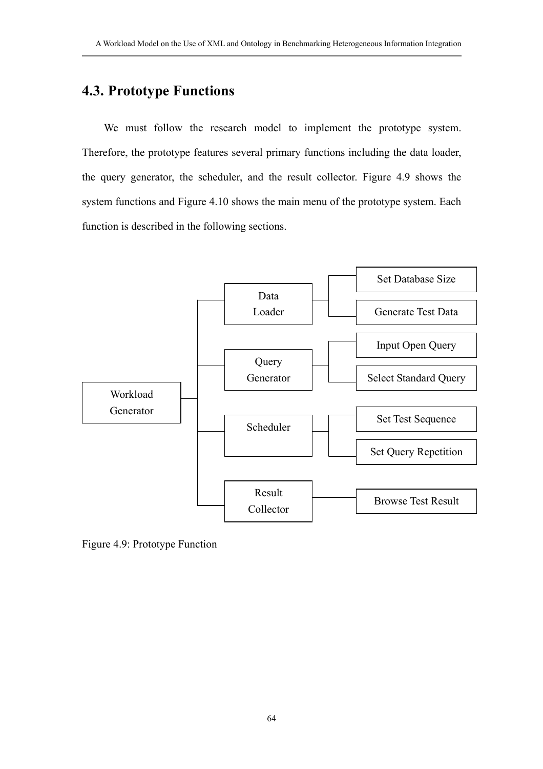# **4.3. Prototype Functions**

We must follow the research model to implement the prototype system. Therefore, the prototype features several primary functions including the data loader, the query generator, the scheduler, and the result collector. Figure 4.9 shows the system functions and Figure 4.10 shows the main menu of the prototype system. Each function is described in the following sections.



Figure 4.9: Prototype Function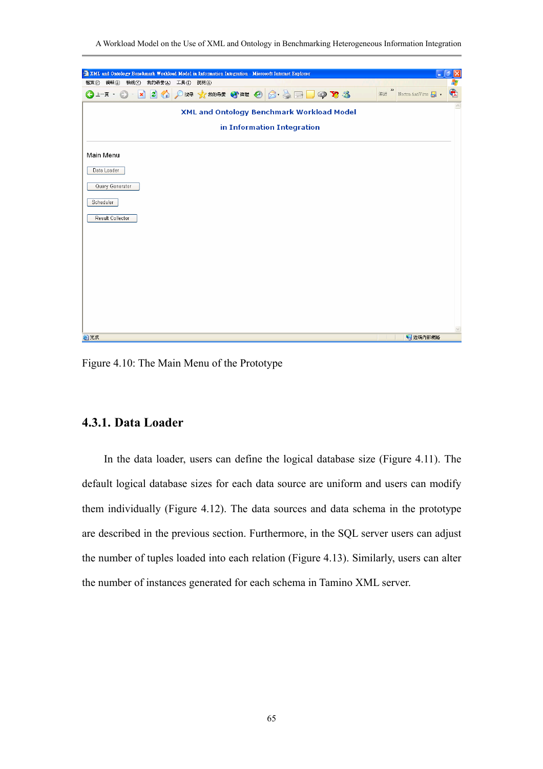| 2 XML and Ontology Benchmark Workload Model in Information Integration - Microsoft Internet Explorer |                                 | $\Box$ e              |
|------------------------------------------------------------------------------------------------------|---------------------------------|-----------------------|
| 說明(H)<br>我的最愛(A)<br>工具(I)<br>編輯(E) 檢視(Y)<br>檔案①                                                      |                                 | Æ                     |
| ○脾 ☆ 熱味 ◆ * ● 8 → 日 ● 9 %<br>日命<br>$\odot$ - $x$<br><b>O上一頁→</b>                                     | $\gg$<br>Norton AntiVirus<br>連結 | $\hat{\mathbf{\tau}}$ |
| XML and Ontology Benchmark Workload Model                                                            |                                 | $\hat{\phantom{a}}$   |
|                                                                                                      |                                 |                       |
| in Information Integration                                                                           |                                 |                       |
|                                                                                                      |                                 |                       |
| Main Menu                                                                                            |                                 |                       |
| Data Loader                                                                                          |                                 |                       |
|                                                                                                      |                                 |                       |
| Query Generator                                                                                      |                                 |                       |
| Scheduler                                                                                            |                                 |                       |
|                                                                                                      |                                 |                       |
| Result Collector                                                                                     |                                 |                       |
|                                                                                                      |                                 |                       |
|                                                                                                      |                                 |                       |
|                                                                                                      |                                 |                       |
|                                                                                                      |                                 |                       |
|                                                                                                      |                                 |                       |
|                                                                                                      |                                 |                       |
|                                                                                                      |                                 |                       |
|                                                                                                      |                                 |                       |
|                                                                                                      |                                 |                       |
|                                                                                                      |                                 | $\checkmark$          |
| ◎完成                                                                                                  | <b>● 近端内部網路</b>                 |                       |

Figure 4.10: The Main Menu of the Prototype

#### **4.3.1. Data Loader**

In the data loader, users can define the logical database size (Figure 4.11). The default logical database sizes for each data source are uniform and users can modify them individually (Figure 4.12). The data sources and data schema in the prototype are described in the previous section. Furthermore, in the SQL server users can adjust the number of tuples loaded into each relation (Figure 4.13). Similarly, users can alter the number of instances generated for each schema in Tamino XML server.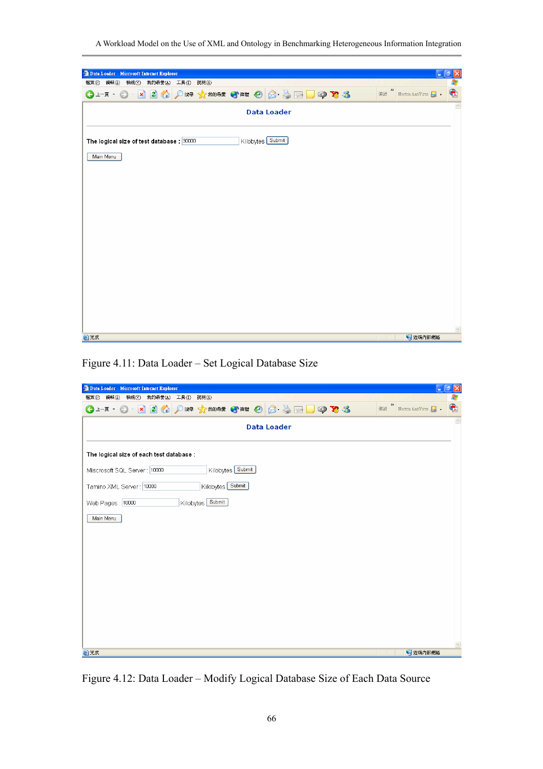

Figure 4.11: Data Loader – Set Logical Database Size

| <sup>2</sup> Data Loader - Microsoft Internet Explorer |                                 | $\Box$ e $\mathsf{X}$ |
|--------------------------------------------------------|---------------------------------|-----------------------|
| 工具(I)<br>編輯(E) 檢視(Y)<br>我的最愛仏<br>説明(H)<br>檔案①          |                                 | Æ                     |
| <b>●上一頁→</b><br>$\odot$<br>$\mathbf{v}$                | $\gg$<br>Norton AntiVirus<br>連結 | $\bigcirc$            |
| <b>Data Loader</b>                                     |                                 | $\wedge$              |
| The logical size of each test database :               |                                 |                       |
| Kilobytes Submit<br>Miscrosoft SQL Server: 10000       |                                 |                       |
| Kilobytes Submit<br>Tamino XML Server: 10000           |                                 |                       |
| Kilobytes <b>Submit</b><br>Web Pages: 10000            |                                 |                       |
| Main Menu                                              |                                 |                       |
|                                                        |                                 |                       |
|                                                        |                                 |                       |
|                                                        |                                 |                       |
|                                                        |                                 |                       |
|                                                        |                                 |                       |
|                                                        |                                 |                       |
|                                                        |                                 |                       |
|                                                        |                                 | $\vee$                |
| ◎完成                                                    | 1 近端内部網路                        |                       |

Figure 4.12: Data Loader – Modify Logical Database Size of Each Data Source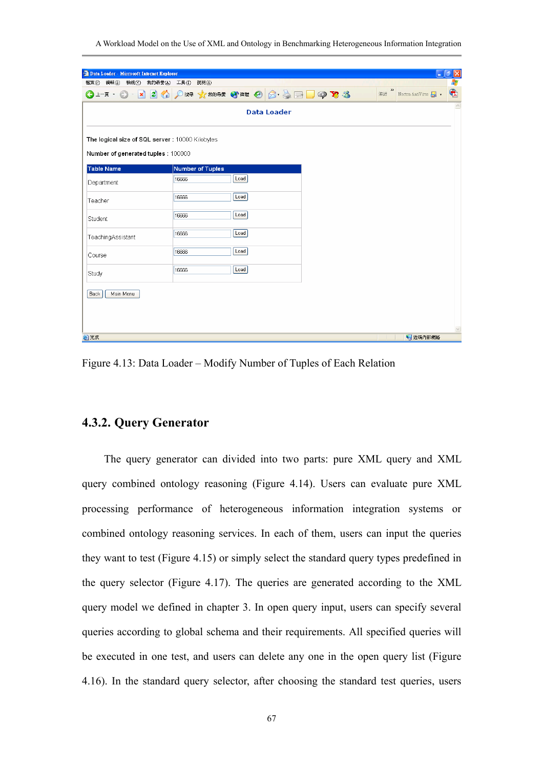| <sup>2</sup> Data Loader - Microsoft Internet Explorer |                     |                                                       |                                 | $\Box$ e $\bf{x}$   |
|--------------------------------------------------------|---------------------|-------------------------------------------------------|---------------------------------|---------------------|
| 編輯(E) 檢視(Y)<br>檔案田                                     | 我的最愛(A) 工具(I) 説明(H) | G上耳 · ⊙ · R 2 ⊙ ◯ L D # ☆ # # ★ * * ● ⊙ ☆ ☆ B D ⊙ ☆ % | $\gg$<br>Norton AntiVirus<br>連結 | Æ<br>$\bigoplus$    |
|                                                        |                     | <b>Data Loader</b>                                    |                                 | $\overline{\wedge}$ |
| The logical size of SQL server: 10000 Kilobytes        |                     |                                                       |                                 |                     |
| Number of generated tuples: 100000                     |                     |                                                       |                                 |                     |
| <b>Table Name</b>                                      | Number of Tuples    |                                                       |                                 |                     |
| Department                                             | 16666               | Load                                                  |                                 |                     |
| Teacher                                                | 16666               | [Load]                                                |                                 |                     |
| Student                                                | 16666               | Load                                                  |                                 |                     |
| TeachingAssistant                                      | 16666               | Load                                                  |                                 |                     |
| Course                                                 | 16666               | Load                                                  |                                 |                     |
| Study                                                  | 16666               | Load                                                  |                                 |                     |
| Main Menu<br>Back                                      |                     |                                                       |                                 |                     |
|                                                        |                     |                                                       |                                 |                     |
|                                                        |                     |                                                       |                                 | $\vee$              |
| 图 完成                                                   |                     |                                                       | ● 近端内部網路                        |                     |

Figure 4.13: Data Loader – Modify Number of Tuples of Each Relation

### **4.3.2. Query Generator**

The query generator can divided into two parts: pure XML query and XML query combined ontology reasoning (Figure 4.14). Users can evaluate pure XML processing performance of heterogeneous information integration systems or combined ontology reasoning services. In each of them, users can input the queries they want to test (Figure 4.15) or simply select the standard query types predefined in the query selector (Figure 4.17). The queries are generated according to the XML query model we defined in chapter 3. In open query input, users can specify several queries according to global schema and their requirements. All specified queries will be executed in one test, and users can delete any one in the open query list (Figure 4.16). In the standard query selector, after choosing the standard test queries, users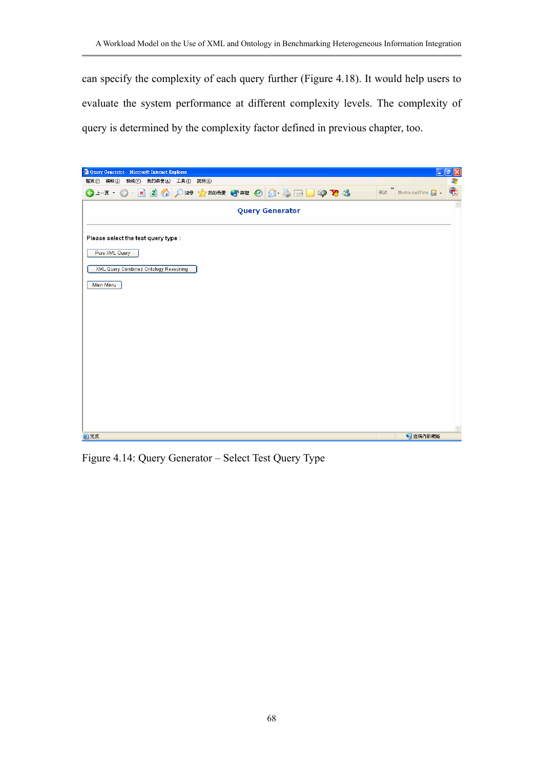can specify the complexity of each query further (Figure 4.18). It would help users to evaluate the system performance at different complexity levels. The complexity of query is determined by the complexity factor defined in previous chapter, too.



Figure 4.14: Query Generator – Select Test Query Type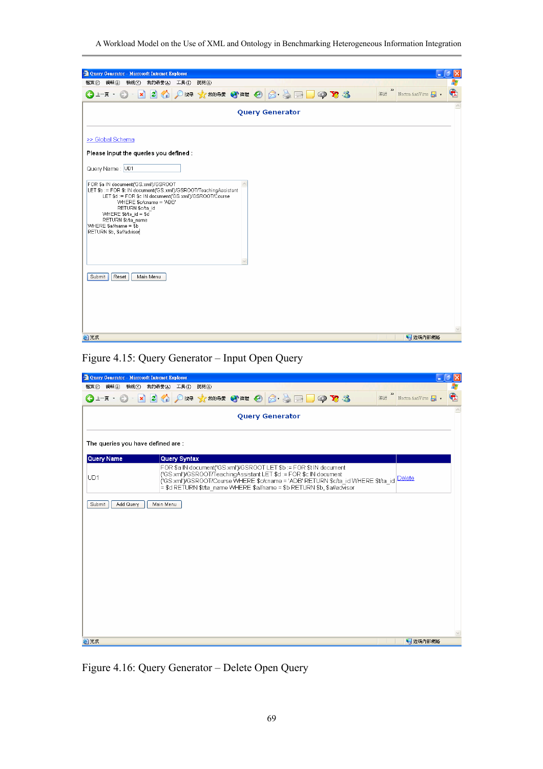| <sup>3</sup> Query Generator - Microsoft Internet Explorer                                                                                                                                                                                                                                                             |                                 | $ \sigma$   |
|------------------------------------------------------------------------------------------------------------------------------------------------------------------------------------------------------------------------------------------------------------------------------------------------------------------------|---------------------------------|-------------|
| 編輯(E)<br>檢視(V)<br>我的最愛(A)<br>工具(I)<br>説明(H)<br>檔案(E)                                                                                                                                                                                                                                                                   |                                 |             |
| 搜尋 大我的最愛 沙媒體 2<br>$\mathbf{r}$<br>$\circledcirc \bullet \bullet \bullet \bullet \bullet \bullet$<br>← 真一(<br>$ \mathbf{x} $<br>$\Omega$<br>G.                                                                                                                                                                          | $\gg$<br>連結<br>Norton AntiVirus | 龟           |
| <b>Query Generator</b>                                                                                                                                                                                                                                                                                                 |                                 | $\triangle$ |
| >> Global Schema                                                                                                                                                                                                                                                                                                       |                                 |             |
| Please input the queries you defined :                                                                                                                                                                                                                                                                                 |                                 |             |
| Query Name: UD1                                                                                                                                                                                                                                                                                                        |                                 |             |
| FOR \$a IN document('GS.xml')/GSROOT<br>LET \$b := FOR \$t IN document('GS.xml')/GSROOT/TeachingAssistant<br>LET \$d := FOR \$c IN document('GS.xml')/GSROOT/Course<br>WHERE \$c/cname = 'ADB'<br>RETURN \$c/ta id<br>WHERE \$t/ta_id = \$d<br>RETURN \$t/ta_name<br>WHERE \$a//name = \$b<br>RETURN \$b, \$a//advisor |                                 |             |
| Reset<br>Submit<br>Main Menu                                                                                                                                                                                                                                                                                           |                                 |             |
|                                                                                                                                                                                                                                                                                                                        |                                 |             |
| ◎ 完成                                                                                                                                                                                                                                                                                                                   | <b>● 近端内部網路</b>                 |             |

Figure 4.15: Query Generator – Input Open Query

| Ouery Generator - Microsoft Internet Explorer |                              |                                                                                                                                                                                                                                                                                                                  |    |                                                | $\mathbb{R}$ $\mathbb{R}$<br>н |
|-----------------------------------------------|------------------------------|------------------------------------------------------------------------------------------------------------------------------------------------------------------------------------------------------------------------------------------------------------------------------------------------------------------|----|------------------------------------------------|--------------------------------|
| 檢視(V)<br>編輯(E)<br>檔案(E)                       | 我的最愛(A)<br>工具(T)<br>説明(H)    |                                                                                                                                                                                                                                                                                                                  |    |                                                | Ж                              |
| $ \mathbf{x} $<br>(上一頁 +                      | $\vert z \vert$<br>$\bullet$ | ○脾 ☆ 熱酸 ◆ * ◎ 8· ◇ □ ● ☆ %                                                                                                                                                                                                                                                                                       | 連結 | $\boldsymbol{\mathcal{Y}}$<br>Norton AntiVirus | $\hat{\mathbf{r}}$             |
|                                               |                              | <b>Query Generator</b>                                                                                                                                                                                                                                                                                           |    |                                                | $\hat{\phantom{a}}$            |
| The queries you have defined are:             |                              |                                                                                                                                                                                                                                                                                                                  |    |                                                |                                |
| <b>Query Name</b>                             | <b>Query Syntax</b>          |                                                                                                                                                                                                                                                                                                                  |    |                                                |                                |
| UD <sub>1</sub>                               |                              | FOR \$a IN document('GS.xml')/GSROOT LET \$b := FOR \$t IN document<br>('GS:xml')/GSROOT/TeachingAssistant LET \$d := FOR \$c IN document<br>('GS xml')/GSROOT/Course WHERE \$c/cname = 'ADB' RETURN \$c/ta_id WHERE \$t/ta_id Delete<br>= \$d RETURN \$t/ta name WHERE \$a//name = \$b RETURN \$b. \$a//advisor |    |                                                |                                |
| Add Query<br>Submit                           | Main Menu                    |                                                                                                                                                                                                                                                                                                                  |    |                                                |                                |
|                                               |                              |                                                                                                                                                                                                                                                                                                                  |    |                                                |                                |
|                                               |                              |                                                                                                                                                                                                                                                                                                                  |    |                                                |                                |
|                                               |                              |                                                                                                                                                                                                                                                                                                                  |    |                                                |                                |
|                                               |                              |                                                                                                                                                                                                                                                                                                                  |    |                                                |                                |
|                                               |                              |                                                                                                                                                                                                                                                                                                                  |    |                                                |                                |
|                                               |                              |                                                                                                                                                                                                                                                                                                                  |    |                                                |                                |
|                                               |                              |                                                                                                                                                                                                                                                                                                                  |    |                                                |                                |
|                                               |                              |                                                                                                                                                                                                                                                                                                                  |    |                                                | $\checkmark$                   |
| ●完成                                           |                              |                                                                                                                                                                                                                                                                                                                  |    | 1 近端内部網路                                       |                                |

Figure 4.16: Query Generator – Delete Open Query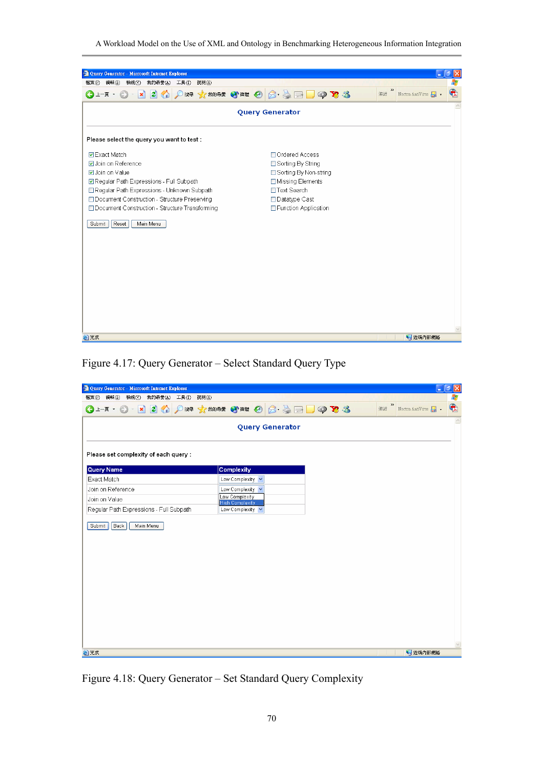

Figure 4.17: Query Generator – Select Standard Query Type

| Query Generator - Microsoft Internet Explorer   |                                          | F<br>$-1$                                         |
|-------------------------------------------------|------------------------------------------|---------------------------------------------------|
| 我的最愛(A) 工具(T)<br>編輯(E)<br>檢視①<br>説明(H)<br>檔案(E) |                                          | Æ                                                 |
| → 真一旦<br>$\odot$ $\cdot$ $\mathbf{x}$           | 2 ☆ ○脾 ☆ 熱弱 ◆ * * ☆ ☆ ● ○ ☆ ☆ ● ● ☆ ☆    | $\hat{\mathbf{r}}$<br>»<br>Norton AntiVirus<br>連結 |
|                                                 | <b>Query Generator</b>                   | $\wedge$                                          |
| Please set complexity of each query :           |                                          |                                                   |
| <b>Query Name</b>                               | <b>Complexity</b>                        |                                                   |
| Exact Match                                     | Low Complexity<br>$\checkmark$           |                                                   |
| Join on Reference                               | Low Complexity V                         |                                                   |
| Join on Value                                   | Low Complexity<br><b>High Complexity</b> |                                                   |
| Regular Path Expressions - Full Subpath         | Low Complexity<br>$\checkmark$           |                                                   |
| Submit<br>Back<br>Main Menu                     |                                          | $\vee$                                            |
| 图完成                                             |                                          | ● 近端内部網路                                          |

Figure 4.18: Query Generator – Set Standard Query Complexity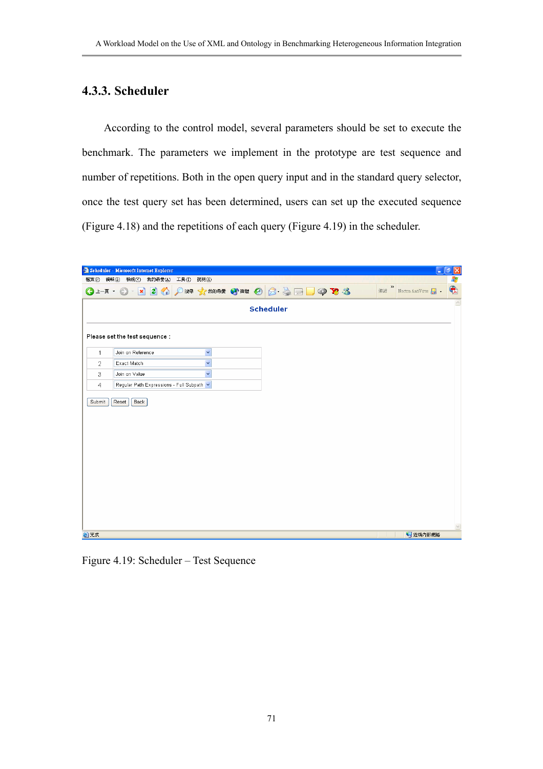### **4.3.3. Scheduler**

According to the control model, several parameters should be set to execute the benchmark. The parameters we implement in the prototype are test sequence and number of repetitions. Both in the open query input and in the standard query selector, once the test query set has been determined, users can set up the executed sequence (Figure 4.18) and the repetitions of each query (Figure 4.19) in the scheduler.

|                              | <sup>2</sup> Scheduler - Microsoft Internet Explorer | a.                                                 | $\lVert \mathbf{H} \rVert$ $\times$ |
|------------------------------|------------------------------------------------------|----------------------------------------------------|-------------------------------------|
| 檔案田                          | 工具(I) 説明(H)<br>編輯(E) 檢視(Y)<br>我的最愛(A)                |                                                    | Æ                                   |
| $ \bigcirc$ $+$ $\mathbb{F}$ | $\vert x \vert \vert 2 \vert$<br>$\bullet$           | $\boldsymbol{\varkappa}$<br>連結<br>Norton AntiVirus | $\hat{\mathbf{r}}$                  |
|                              | Scheduler                                            |                                                    | $\wedge$                            |
|                              | Please set the test sequence :                       |                                                    |                                     |
| $\mathbf{1}$                 | Join on Reference<br>Y                               |                                                    |                                     |
| $\overline{2}$               | Exact Match<br>Y                                     |                                                    |                                     |
| 3                            | Join on Value<br>v                                   |                                                    |                                     |
| 4                            | Regular Path Expressions - Full Subpath              |                                                    |                                     |
|                              |                                                      |                                                    |                                     |
| 图完成                          |                                                      | ● 近端内部網路                                           | $\vee$                              |

Figure 4.19: Scheduler – Test Sequence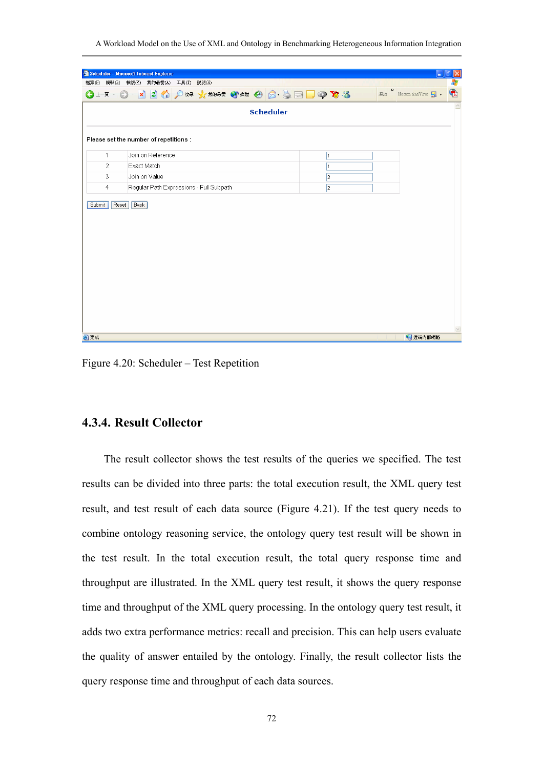|                | Scheduler - Microsoft Internet Explorer                                  |                | - [리<br> x                                |
|----------------|--------------------------------------------------------------------------|----------------|-------------------------------------------|
| 編輯(E)<br>檔案①   | 檢視①<br>我的最愛(A)<br>工具①<br>説明(H)                                           |                | Æ                                         |
| → 真一士          | ○脾 ☆ 熱酵 ●※ ● 8· → B ● ● × ※<br>20<br>$\vert \mathbf{x} \vert$<br>$\odot$ | $\gg$<br>連結    | $\hat{\mathbf{\Phi}}$<br>Norton AntiVirus |
|                | Scheduler                                                                |                | $\wedge$                                  |
|                | Please set the number of repetitions :                                   |                |                                           |
| 1              | Join on Reference                                                        | 1              |                                           |
| $\overline{2}$ | Exact Match                                                              | 1              |                                           |
| 3              | Join on Value                                                            | $\overline{2}$ |                                           |
| 4              | Regular Path Expressions - Full Subpath                                  | $\overline{2}$ |                                           |
|                |                                                                          |                |                                           |
|                |                                                                          |                | $\vee$                                    |
| ◎完成            |                                                                          |                | 1 近端内部網路                                  |

Figure 4.20: Scheduler – Test Repetition

#### **4.3.4. Result Collector**

The result collector shows the test results of the queries we specified. The test results can be divided into three parts: the total execution result, the XML query test result, and test result of each data source (Figure 4.21). If the test query needs to combine ontology reasoning service, the ontology query test result will be shown in the test result. In the total execution result, the total query response time and throughput are illustrated. In the XML query test result, it shows the query response time and throughput of the XML query processing. In the ontology query test result, it adds two extra performance metrics: recall and precision. This can help users evaluate the quality of answer entailed by the ontology. Finally, the result collector lists the query response time and throughput of each data sources.